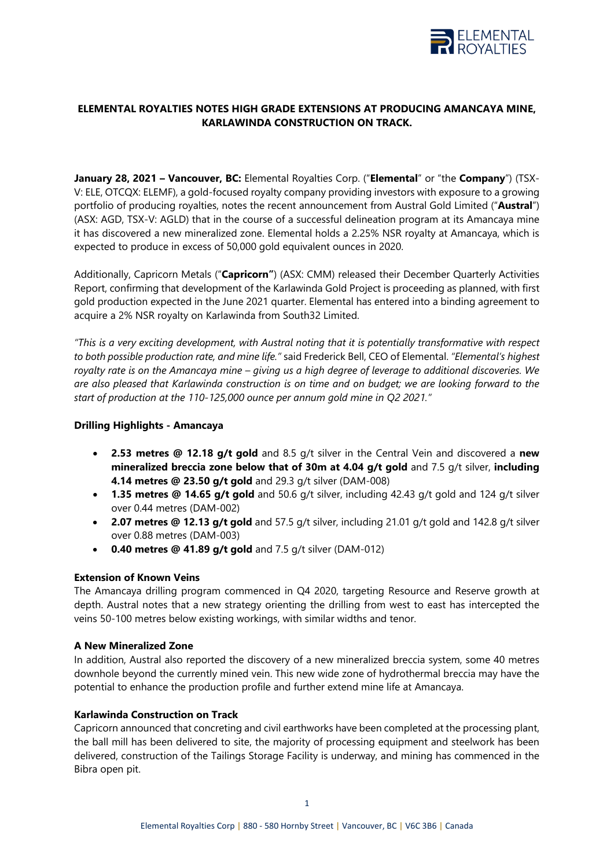

# **ELEMENTAL ROYALTIES NOTES HIGH GRADE EXTENSIONS AT PRODUCING AMANCAYA MINE, KARLAWINDA CONSTRUCTION ON TRACK.**

**January 28, 2021 – Vancouver, BC:** Elemental Royalties Corp. ("**Elemental**" or "the **Company**") (TSX-V: ELE, OTCQX: ELEMF), a gold-focused royalty company providing investors with exposure to a growing portfolio of producing royalties, notes the recent announcement from Austral Gold Limited ("**Austral**") (ASX: AGD, TSX-V: AGLD) that in the course of a successful delineation program at its Amancaya mine it has discovered a new mineralized zone. Elemental holds a 2.25% NSR royalty at Amancaya, which is expected to produce in excess of 50,000 gold equivalent ounces in 2020.

Additionally, Capricorn Metals ("**Capricorn"**) (ASX: CMM) released their December Quarterly Activities Report, confirming that development of the Karlawinda Gold Project is proceeding as planned, with first gold production expected in the June 2021 quarter. Elemental has entered into a binding agreement to acquire a 2% NSR royalty on Karlawinda from South32 Limited.

*"This is a very exciting development, with Austral noting that it is potentially transformative with respect to both possible production rate, and mine life."* said Frederick Bell, CEO of Elemental. *"Elemental's highest royalty rate is on the Amancaya mine – giving us a high degree of leverage to additional discoveries. We are also pleased that Karlawinda construction is on time and on budget; we are looking forward to the start of production at the 110-125,000 ounce per annum gold mine in Q2 2021."*

# **Drilling Highlights - Amancaya**

- **2.53 metres @ 12.18 g/t gold** and 8.5 g/t silver in the Central Vein and discovered a **new mineralized breccia zone below that of 30m at 4.04 g/t gold** and 7.5 g/t silver, **including 4.14 metres @ 23.50 g/t gold** and 29.3 g/t silver (DAM-008)
- **1.35 metres @ 14.65 g/t gold** and 50.6 g/t silver, including 42.43 g/t gold and 124 g/t silver over 0.44 metres (DAM-002)
- **2.07 metres @ 12.13 g/t gold** and 57.5 g/t silver, including 21.01 g/t gold and 142.8 g/t silver over 0.88 metres (DAM-003)
- **0.40 metres @ 41.89 g/t gold** and 7.5 g/t silver (DAM-012)

## **Extension of Known Veins**

The Amancaya drilling program commenced in Q4 2020, targeting Resource and Reserve growth at depth. Austral notes that a new strategy orienting the drilling from west to east has intercepted the veins 50-100 metres below existing workings, with similar widths and tenor.

## **A New Mineralized Zone**

In addition, Austral also reported the discovery of a new mineralized breccia system, some 40 metres downhole beyond the currently mined vein. This new wide zone of hydrothermal breccia may have the potential to enhance the production profile and further extend mine life at Amancaya.

## **Karlawinda Construction on Track**

Capricorn announced that concreting and civil earthworks have been completed at the processing plant, the ball mill has been delivered to site, the majority of processing equipment and steelwork has been delivered, construction of the Tailings Storage Facility is underway, and mining has commenced in the Bibra open pit.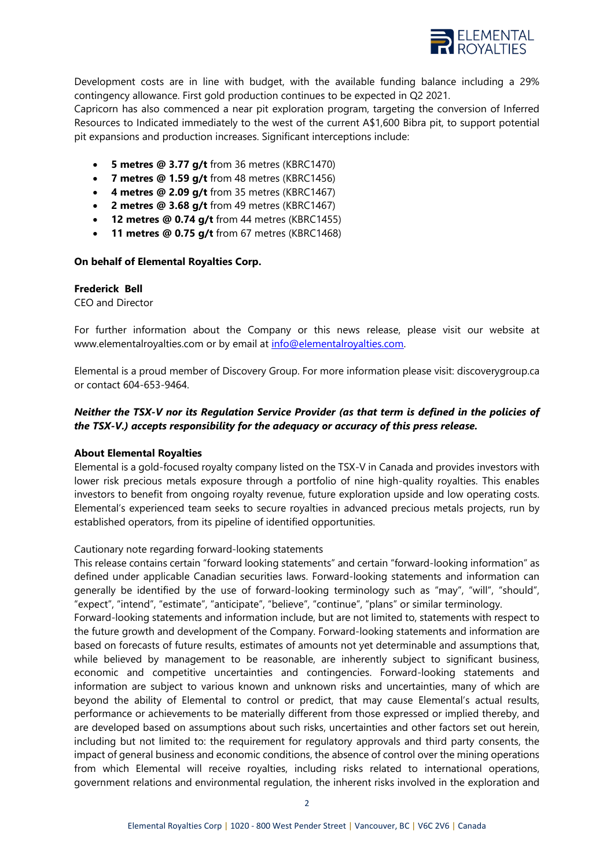

Development costs are in line with budget, with the available funding balance including a 29% contingency allowance. First gold production continues to be expected in Q2 2021.

Capricorn has also commenced a near pit exploration program, targeting the conversion of Inferred Resources to Indicated immediately to the west of the current A\$1,600 Bibra pit, to support potential pit expansions and production increases. Significant interceptions include:

- **5 metres @ 3.77 g/t** from 36 metres (KBRC1470)
- **7 metres @ 1.59 g/t** from 48 metres (KBRC1456)
- **4 metres @ 2.09 g/t** from 35 metres (KBRC1467)
- **2 metres @ 3.68 g/t** from 49 metres (KBRC1467)
- **12 metres @ 0.74 g/t** from 44 metres (KBRC1455)
- **11 metres @ 0.75 g/t** from 67 metres (KBRC1468)

#### **On behalf of Elemental Royalties Corp.**

### **Frederick Bell**

CEO and Director

For further information about the Company or this news release, please visit our website at www.elementalroyalties.com or by email at [info@elementalroyalties.com.](mailto:info@elementalroyalties.com)

Elemental is a proud member of Discovery Group. For more information please visit: discoverygroup.ca or contact 604-653-9464.

# *Neither the TSX-V nor its Regulation Service Provider (as that term is defined in the policies of the TSX-V.) accepts responsibility for the adequacy or accuracy of this press release.*

## **About Elemental Royalties**

Elemental is a gold-focused royalty company listed on the TSX-V in Canada and provides investors with lower risk precious metals exposure through a portfolio of nine high-quality royalties. This enables investors to benefit from ongoing royalty revenue, future exploration upside and low operating costs. Elemental's experienced team seeks to secure royalties in advanced precious metals projects, run by established operators, from its pipeline of identified opportunities.

#### Cautionary note regarding forward-looking statements

This release contains certain "forward looking statements" and certain "forward-looking information" as defined under applicable Canadian securities laws. Forward-looking statements and information can generally be identified by the use of forward-looking terminology such as "may", "will", "should", "expect", "intend", "estimate", "anticipate", "believe", "continue", "plans" or similar terminology.

Forward-looking statements and information include, but are not limited to, statements with respect to the future growth and development of the Company. Forward-looking statements and information are based on forecasts of future results, estimates of amounts not yet determinable and assumptions that, while believed by management to be reasonable, are inherently subject to significant business, economic and competitive uncertainties and contingencies. Forward-looking statements and information are subject to various known and unknown risks and uncertainties, many of which are beyond the ability of Elemental to control or predict, that may cause Elemental's actual results, performance or achievements to be materially different from those expressed or implied thereby, and are developed based on assumptions about such risks, uncertainties and other factors set out herein, including but not limited to: the requirement for regulatory approvals and third party consents, the impact of general business and economic conditions, the absence of control over the mining operations from which Elemental will receive royalties, including risks related to international operations, government relations and environmental regulation, the inherent risks involved in the exploration and